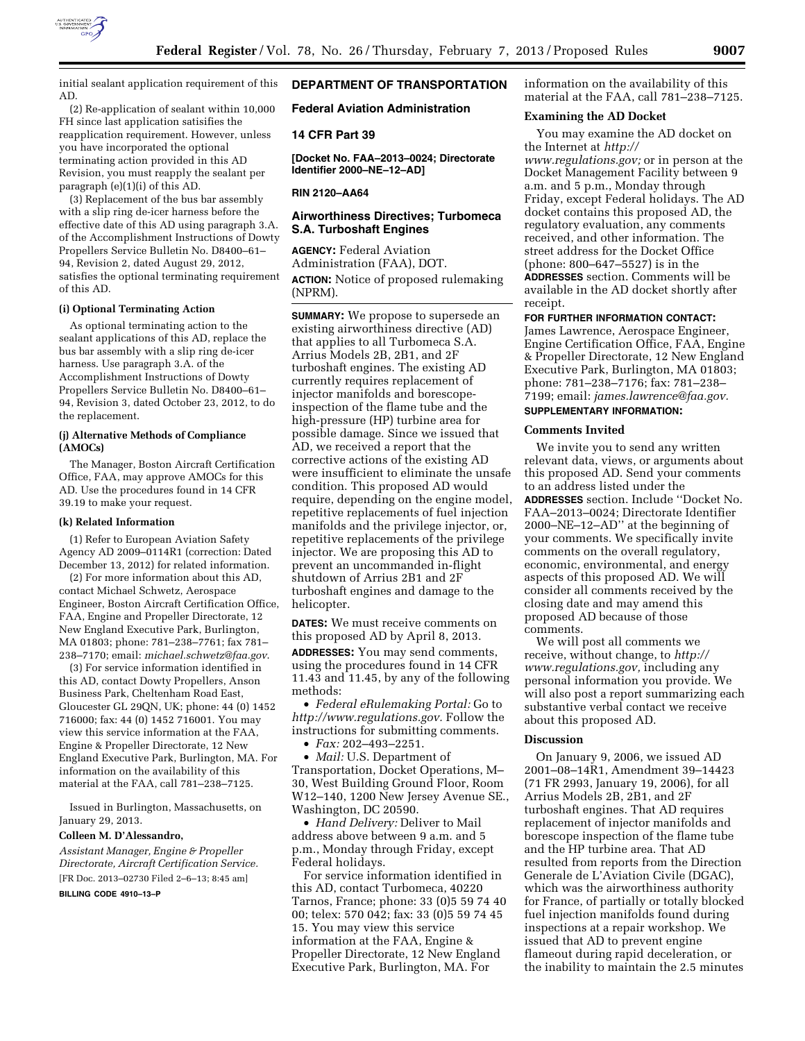

initial sealant application requirement of this AD.

(2) Re-application of sealant within 10,000 FH since last application satisifies the reapplication requirement. However, unless you have incorporated the optional terminating action provided in this AD Revision, you must reapply the sealant per paragraph (e)(1)(i) of this AD.

(3) Replacement of the bus bar assembly with a slip ring de-icer harness before the effective date of this AD using paragraph 3.A. of the Accomplishment Instructions of Dowty Propellers Service Bulletin No. D8400–61– 94, Revision 2, dated August 29, 2012, satisfies the optional terminating requirement of this AD.

### **(i) Optional Terminating Action**

As optional terminating action to the sealant applications of this AD, replace the bus bar assembly with a slip ring de-icer harness. Use paragraph 3.A. of the Accomplishment Instructions of Dowty Propellers Service Bulletin No. D8400–61– 94, Revision 3, dated October 23, 2012, to do the replacement.

## **(j) Alternative Methods of Compliance (AMOCs)**

The Manager, Boston Aircraft Certification Office, FAA, may approve AMOCs for this AD. Use the procedures found in 14 CFR 39.19 to make your request.

#### **(k) Related Information**

(1) Refer to European Aviation Safety Agency AD 2009–0114R1 (correction: Dated December 13, 2012) for related information.

(2) For more information about this AD, contact Michael Schwetz, Aerospace Engineer, Boston Aircraft Certification Office, FAA, Engine and Propeller Directorate, 12 New England Executive Park, Burlington, MA 01803; phone: 781–238–7761; fax 781– 238–7170; email: *[michael.schwetz@faa.gov](mailto:michael.schwetz@faa.gov)*.

(3) For service information identified in this AD, contact Dowty Propellers, Anson Business Park, Cheltenham Road East, Gloucester GL 29QN, UK; phone: 44 (0) 1452 716000; fax: 44 (0) 1452 716001. You may view this service information at the FAA, Engine & Propeller Directorate, 12 New England Executive Park, Burlington, MA. For information on the availability of this material at the FAA, call 781–238–7125.

Issued in Burlington, Massachusetts, on January 29, 2013.

#### **Colleen M. D'Alessandro,**

*Assistant Manager, Engine & Propeller Directorate, Aircraft Certification Service.*  [FR Doc. 2013–02730 Filed 2–6–13; 8:45 am]

#### **BILLING CODE 4910–13–P**

### **DEPARTMENT OF TRANSPORTATION**

**Federal Aviation Administration** 

### **14 CFR Part 39**

**[Docket No. FAA–2013–0024; Directorate Identifier 2000–NE–12–AD]** 

#### **RIN 2120–AA64**

## **Airworthiness Directives; Turbomeca S.A. Turboshaft Engines**

**AGENCY:** Federal Aviation Administration (FAA), DOT. **ACTION:** Notice of proposed rulemaking (NPRM).

**SUMMARY:** We propose to supersede an existing airworthiness directive (AD) that applies to all Turbomeca S.A. Arrius Models 2B, 2B1, and 2F turboshaft engines. The existing AD currently requires replacement of injector manifolds and borescopeinspection of the flame tube and the high-pressure (HP) turbine area for possible damage. Since we issued that AD, we received a report that the corrective actions of the existing AD were insufficient to eliminate the unsafe condition. This proposed AD would require, depending on the engine model, repetitive replacements of fuel injection manifolds and the privilege injector, or, repetitive replacements of the privilege injector. We are proposing this AD to prevent an uncommanded in-flight shutdown of Arrius 2B1 and 2F turboshaft engines and damage to the helicopter.

**DATES:** We must receive comments on this proposed AD by April 8, 2013.

**ADDRESSES:** You may send comments, using the procedures found in 14 CFR 11.43 and 11.45, by any of the following methods:

• *Federal eRulemaking Portal:* Go to *[http://www.regulations.gov.](http://www.regulations.gov)* Follow the instructions for submitting comments.

• *Fax:* 202–493–2251.

• *Mail:* U.S. Department of Transportation, Docket Operations, M– 30, West Building Ground Floor, Room W12–140, 1200 New Jersey Avenue SE., Washington, DC 20590.

• *Hand Delivery:* Deliver to Mail address above between 9 a.m. and 5 p.m., Monday through Friday, except Federal holidays.

For service information identified in this AD, contact Turbomeca, 40220 Tarnos, France; phone: 33 (0)5 59 74 40 00; telex: 570 042; fax: 33 (0)5 59 74 45 15. You may view this service information at the FAA, Engine & Propeller Directorate, 12 New England Executive Park, Burlington, MA. For

information on the availability of this material at the FAA, call 781–238–7125.

#### **Examining the AD Docket**

You may examine the AD docket on the Internet at *[http://](http://www.regulations.gov)  [www.regulations.gov;](http://www.regulations.gov)* or in person at the Docket Management Facility between 9 a.m. and 5 p.m., Monday through Friday, except Federal holidays. The AD docket contains this proposed AD, the regulatory evaluation, any comments received, and other information. The street address for the Docket Office (phone: 800–647–5527) is in the **ADDRESSES** section. Comments will be available in the AD docket shortly after receipt.

### **FOR FURTHER INFORMATION CONTACT:**

James Lawrence, Aerospace Engineer, Engine Certification Office, FAA, Engine & Propeller Directorate, 12 New England Executive Park, Burlington, MA 01803; phone: 781–238–7176; fax: 781–238– 7199; email: *[james.lawrence@faa.gov.](mailto:james.lawrence@faa.gov)* 

# **SUPPLEMENTARY INFORMATION:**

### **Comments Invited**

We invite you to send any written relevant data, views, or arguments about this proposed AD. Send your comments to an address listed under the **ADDRESSES** section. Include ''Docket No. FAA–2013–0024; Directorate Identifier 2000–NE–12–AD'' at the beginning of your comments. We specifically invite comments on the overall regulatory, economic, environmental, and energy aspects of this proposed AD. We will consider all comments received by the closing date and may amend this proposed AD because of those comments.

We will post all comments we receive, without change, to *[http://](http://www.regulations.gov) [www.regulations.gov,](http://www.regulations.gov)* including any personal information you provide. We will also post a report summarizing each substantive verbal contact we receive about this proposed AD.

#### **Discussion**

On January 9, 2006, we issued AD 2001–08–14R1, Amendment 39–14423 (71 FR 2993, January 19, 2006), for all Arrius Models 2B, 2B1, and 2F turboshaft engines. That AD requires replacement of injector manifolds and borescope inspection of the flame tube and the HP turbine area. That AD resulted from reports from the Direction Generale de L'Aviation Civile (DGAC), which was the airworthiness authority for France, of partially or totally blocked fuel injection manifolds found during inspections at a repair workshop. We issued that AD to prevent engine flameout during rapid deceleration, or the inability to maintain the 2.5 minutes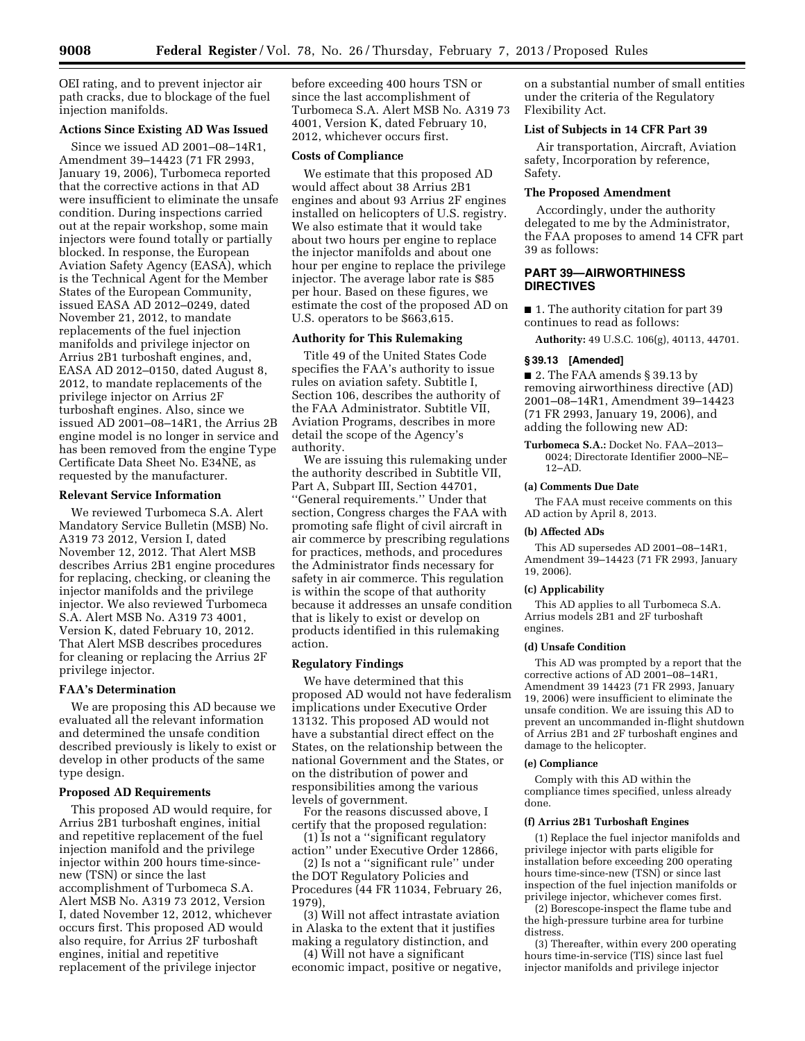OEI rating, and to prevent injector air path cracks, due to blockage of the fuel injection manifolds.

## **Actions Since Existing AD Was Issued**

Since we issued AD 2001–08–14R1, Amendment 39–14423 (71 FR 2993, January 19, 2006), Turbomeca reported that the corrective actions in that AD were insufficient to eliminate the unsafe condition. During inspections carried out at the repair workshop, some main injectors were found totally or partially blocked. In response, the European Aviation Safety Agency (EASA), which is the Technical Agent for the Member States of the European Community, issued EASA AD 2012–0249, dated November 21, 2012, to mandate replacements of the fuel injection manifolds and privilege injector on Arrius 2B1 turboshaft engines, and, EASA AD 2012–0150, dated August 8, 2012, to mandate replacements of the privilege injector on Arrius 2F turboshaft engines. Also, since we issued AD 2001–08–14R1, the Arrius 2B engine model is no longer in service and has been removed from the engine Type Certificate Data Sheet No. E34NE, as requested by the manufacturer.

#### **Relevant Service Information**

We reviewed Turbomeca S.A. Alert Mandatory Service Bulletin (MSB) No. A319 73 2012, Version I, dated November 12, 2012. That Alert MSB describes Arrius 2B1 engine procedures for replacing, checking, or cleaning the injector manifolds and the privilege injector. We also reviewed Turbomeca S.A. Alert MSB No. A319 73 4001, Version K, dated February 10, 2012. That Alert MSB describes procedures for cleaning or replacing the Arrius 2F privilege injector.

### **FAA's Determination**

We are proposing this AD because we evaluated all the relevant information and determined the unsafe condition described previously is likely to exist or develop in other products of the same type design.

## **Proposed AD Requirements**

This proposed AD would require, for Arrius 2B1 turboshaft engines, initial and repetitive replacement of the fuel injection manifold and the privilege injector within 200 hours time-sincenew (TSN) or since the last accomplishment of Turbomeca S.A. Alert MSB No. A319 73 2012, Version I, dated November 12, 2012, whichever occurs first. This proposed AD would also require, for Arrius 2F turboshaft engines, initial and repetitive replacement of the privilege injector

before exceeding 400 hours TSN or since the last accomplishment of Turbomeca S.A. Alert MSB No. A319 73 4001, Version K, dated February 10, 2012, whichever occurs first.

#### **Costs of Compliance**

We estimate that this proposed AD would affect about 38 Arrius 2B1 engines and about 93 Arrius 2F engines installed on helicopters of U.S. registry. We also estimate that it would take about two hours per engine to replace the injector manifolds and about one hour per engine to replace the privilege injector. The average labor rate is \$85 per hour. Based on these figures, we estimate the cost of the proposed AD on U.S. operators to be \$663,615.

### **Authority for This Rulemaking**

Title 49 of the United States Code specifies the FAA's authority to issue rules on aviation safety. Subtitle I, Section 106, describes the authority of the FAA Administrator. Subtitle VII, Aviation Programs, describes in more detail the scope of the Agency's authority.

We are issuing this rulemaking under the authority described in Subtitle VII, Part A, Subpart III, Section 44701, ''General requirements.'' Under that section, Congress charges the FAA with promoting safe flight of civil aircraft in air commerce by prescribing regulations for practices, methods, and procedures the Administrator finds necessary for safety in air commerce. This regulation is within the scope of that authority because it addresses an unsafe condition that is likely to exist or develop on products identified in this rulemaking action.

## **Regulatory Findings**

We have determined that this proposed AD would not have federalism implications under Executive Order 13132. This proposed AD would not have a substantial direct effect on the States, on the relationship between the national Government and the States, or on the distribution of power and responsibilities among the various levels of government.

For the reasons discussed above, I certify that the proposed regulation:

(1) Is not a ''significant regulatory action'' under Executive Order 12866,

(2) Is not a ''significant rule'' under the DOT Regulatory Policies and Procedures (44 FR 11034, February 26, 1979),

(3) Will not affect intrastate aviation in Alaska to the extent that it justifies making a regulatory distinction, and

(4) Will not have a significant economic impact, positive or negative,

on a substantial number of small entities under the criteria of the Regulatory Flexibility Act.

### **List of Subjects in 14 CFR Part 39**

Air transportation, Aircraft, Aviation safety, Incorporation by reference, Safety.

## **The Proposed Amendment**

Accordingly, under the authority delegated to me by the Administrator, the FAA proposes to amend 14 CFR part 39 as follows:

## **PART 39—AIRWORTHINESS DIRECTIVES**

■ 1. The authority citation for part 39 continues to read as follows:

**Authority:** 49 U.S.C. 106(g), 40113, 44701.

### **§ 39.13 [Amended]**

■ 2. The FAA amends § 39.13 by removing airworthiness directive (AD) 2001–08–14R1, Amendment 39–14423 (71 FR 2993, January 19, 2006), and adding the following new AD:

**Turbomeca S.A.:** Docket No. FAA–2013– 0024; Directorate Identifier 2000–NE– 12–AD.

### **(a) Comments Due Date**

The FAA must receive comments on this AD action by April 8, 2013.

#### **(b) Affected ADs**

This AD supersedes AD 2001–08–14R1, Amendment 39–14423 (71 FR 2993, January 19, 2006).

## **(c) Applicability**

This AD applies to all Turbomeca S.A. Arrius models 2B1 and 2F turboshaft engines.

#### **(d) Unsafe Condition**

This AD was prompted by a report that the corrective actions of AD 2001–08–14R1, Amendment 39 14423 (71 FR 2993, January 19, 2006) were insufficient to eliminate the unsafe condition. We are issuing this AD to prevent an uncommanded in-flight shutdown of Arrius 2B1 and 2F turboshaft engines and damage to the helicopter.

#### **(e) Compliance**

Comply with this AD within the compliance times specified, unless already done.

#### **(f) Arrius 2B1 Turboshaft Engines**

(1) Replace the fuel injector manifolds and privilege injector with parts eligible for installation before exceeding 200 operating hours time-since-new (TSN) or since last inspection of the fuel injection manifolds or privilege injector, whichever comes first.

(2) Borescope-inspect the flame tube and the high-pressure turbine area for turbine distress.

(3) Thereafter, within every 200 operating hours time-in-service (TIS) since last fuel injector manifolds and privilege injector